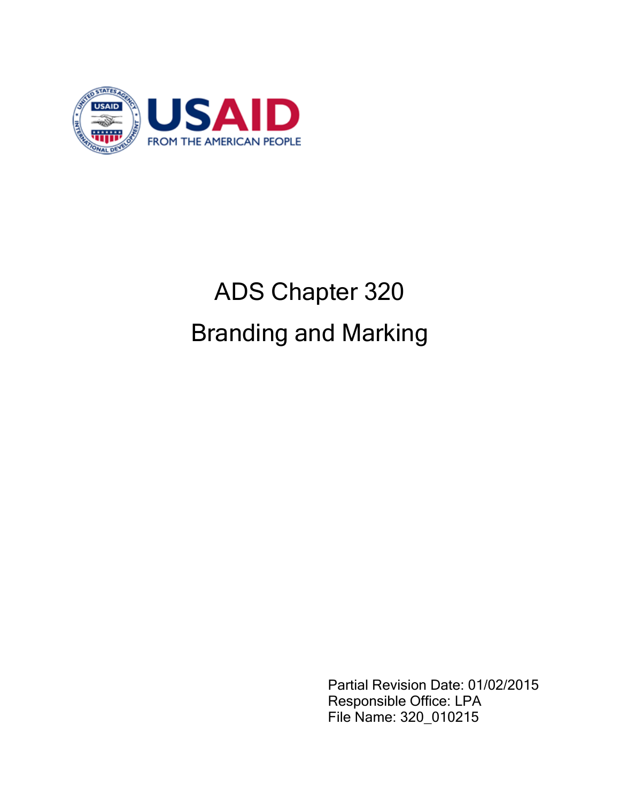

# ADS Chapter 320 Branding and Marking

Partial Revision Date: 01/02/2015 Responsible Office: LPA File Name: 320\_010215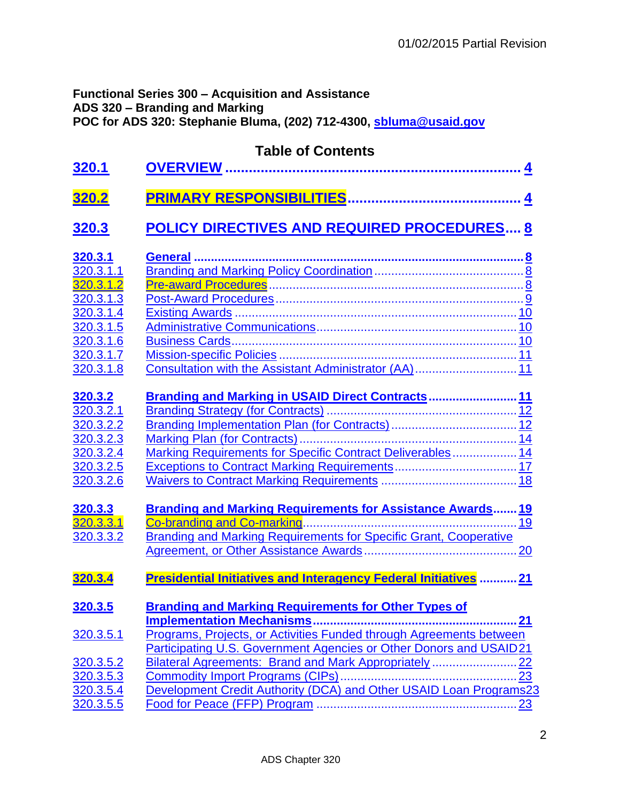# **Functional Series 300 – Acquisition and Assistance ADS 320 – Branding and Marking POC for ADS 320: Stephanie Bluma, (202) 712-4300, [sbluma@usaid.gov](mailto:sbluma@usaid.gov)**

| 320.1                                                                                              | <b>Table of Contents</b>                                                                                                                                                                         |
|----------------------------------------------------------------------------------------------------|--------------------------------------------------------------------------------------------------------------------------------------------------------------------------------------------------|
| <u>320.2</u>                                                                                       |                                                                                                                                                                                                  |
| <u>320.3</u>                                                                                       | <b>POLICY DIRECTIVES AND REQUIRED PROCEDURES 8</b>                                                                                                                                               |
| 320.3.1<br>320.3.1.1<br>320.3.1.2<br>320.3.1.3<br>320.3.1.4<br>320.3.1.5<br>320.3.1.6<br>320.3.1.7 |                                                                                                                                                                                                  |
| 320.3.1.8<br><u>320.3.2</u><br>320.3.2.1<br>320.3.2.2<br>320.3.2.3<br>320.3.2.4<br>320.3.2.5       | Branding and Marking in USAID Direct Contracts 11<br>Marking Requirements for Specific Contract Deliverables 14                                                                                  |
| 320.3.2.6<br>320.3.3<br>320.3.3.1<br>320.3.3.2                                                     | Branding and Marking Requirements for Assistance Awards 19<br>19<br><b>Branding and Marking Requirements for Specific Grant, Cooperative</b><br>20                                               |
| 320.3.4                                                                                            | <b>Presidential Initiatives and Interagency Federal Initiatives </b><br>21                                                                                                                       |
| <u>320.3.5</u><br>320.3.5.1                                                                        | <b>Branding and Marking Requirements for Other Types of</b><br><b>Implementation Mechanisms.</b><br>21<br>Programs, Projects, or Activities Funded through Agreements between                    |
| 320.3.5.2<br>320.3.5.3<br>320.3.5.4<br>320.3.5.5                                                   | Participating U.S. Government Agencies or Other Donors and USAID21<br>Bilateral Agreements: Brand and Mark Appropriately22<br>Development Credit Authority (DCA) and Other USAID Loan Programs23 |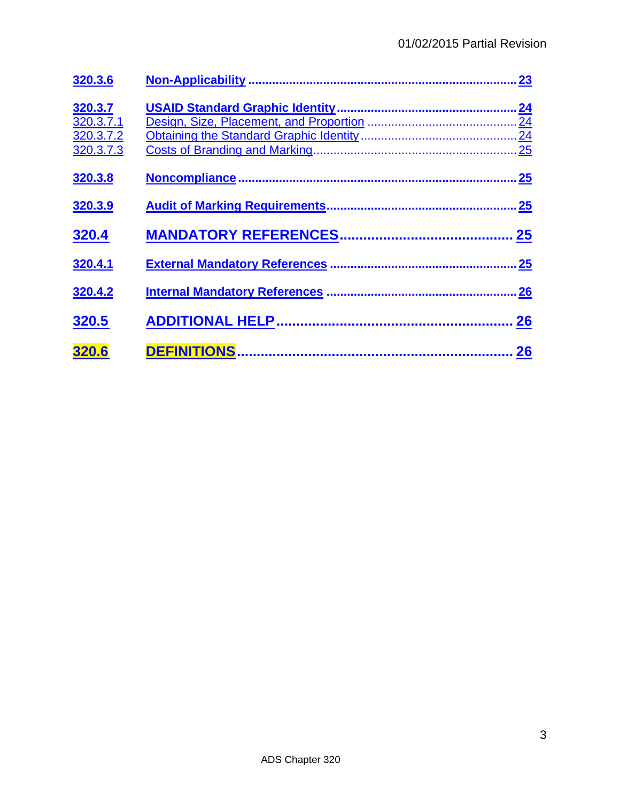| 320.3.6                                        | 23             |
|------------------------------------------------|----------------|
| 320.3.7<br>320.3.7.1<br>320.3.7.2<br>320.3.7.3 | 24<br>24<br>25 |
| 320.3.8                                        | 25             |
| 320.3.9                                        | 25             |
| 320.4                                          | 25             |
| 320.4.1                                        | 25             |
| 320.4.2                                        | .26            |
| 320.5                                          | 26             |
| 320.6                                          | 26             |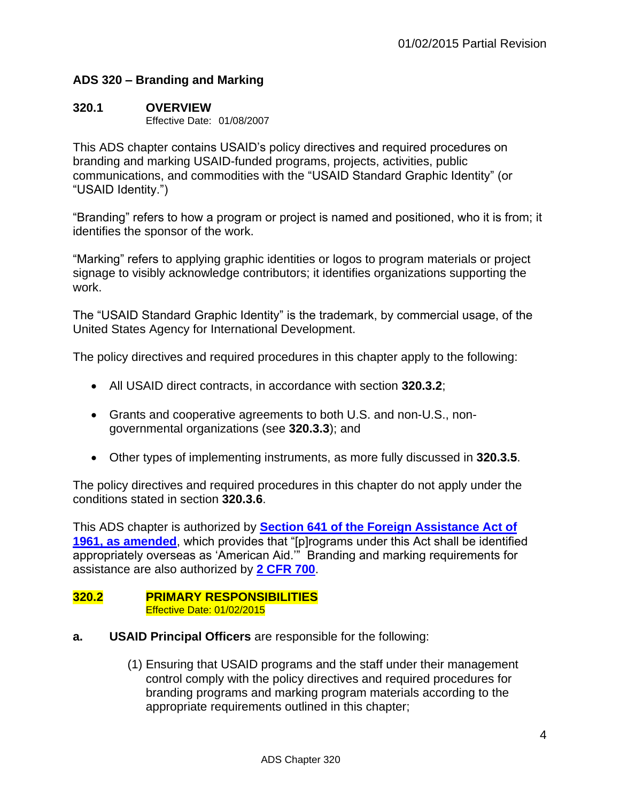#### **ADS 320 – Branding and Marking**

#### <span id="page-3-0"></span>**320.1 OVERVIEW**

Effective Date: 01/08/2007

This ADS chapter contains USAID's policy directives and required procedures on branding and marking USAID-funded programs, projects, activities, public communications, and commodities with the "USAID Standard Graphic Identity" (or "USAID Identity.")

"Branding" refers to how a program or project is named and positioned, who it is from; it identifies the sponsor of the work.

"Marking" refers to applying graphic identities or logos to program materials or project signage to visibly acknowledge contributors; it identifies organizations supporting the work.

The "USAID Standard Graphic Identity" is the trademark, by commercial usage, of the United States Agency for International Development.

The policy directives and required procedures in this chapter apply to the following:

- All USAID direct contracts, in accordance with section **320.3.2**;
- Grants and cooperative agreements to both U.S. and non-U.S., nongovernmental organizations (see **320.3.3**); and
- Other types of implementing instruments, as more fully discussed in **320.3.5**.

The policy directives and required procedures in this chapter do not apply under the conditions stated in section **320.3.6**.

This ADS chapter is authorized by **[Section 641 of the Foreign Assistance Act of](http://www.usaid.gov/ads/policy/faa)  [1961, as amended](http://www.usaid.gov/ads/policy/faa)**, which provides that "[p]rograms under this Act shall be identified appropriately overseas as 'American Aid.'" Branding and marking requirements for assistance are also authorized by **[2 CFR 700](http://www.gpo.gov/fdsys/pkg/FR-2015-09-17/html/2015-23419.htm)**.

#### <span id="page-3-1"></span>**320.2 PRIMARY RESPONSIBILITIES**  Effective Date: 01/02/2015

- **a. USAID Principal Officers** are responsible for the following:
	- (1) Ensuring that USAID programs and the staff under their management control comply with the policy directives and required procedures for branding programs and marking program materials according to the appropriate requirements outlined in this chapter;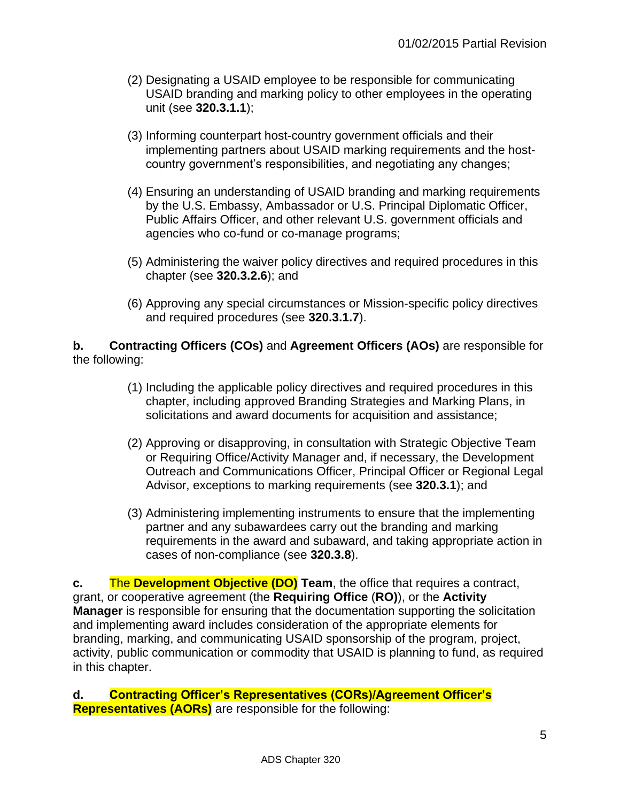- (2) Designating a USAID employee to be responsible for communicating USAID branding and marking policy to other employees in the operating unit (see **320.3.1.1**);
- (3) Informing counterpart host-country government officials and their implementing partners about USAID marking requirements and the hostcountry government's responsibilities, and negotiating any changes;
- (4) Ensuring an understanding of USAID branding and marking requirements by the U.S. Embassy, Ambassador or U.S. Principal Diplomatic Officer, Public Affairs Officer, and other relevant U.S. government officials and agencies who co-fund or co-manage programs;
- (5) Administering the waiver policy directives and required procedures in this chapter (see **320.3.2.6**); and
- (6) Approving any special circumstances or Mission-specific policy directives and required procedures (see **320.3.1.7**).

#### **b. Contracting Officers (COs)** and **Agreement Officers (AOs)** are responsible for the following:

- (1) Including the applicable policy directives and required procedures in this chapter, including approved Branding Strategies and Marking Plans, in solicitations and award documents for acquisition and assistance;
- (2) Approving or disapproving, in consultation with Strategic Objective Team or Requiring Office/Activity Manager and, if necessary, the Development Outreach and Communications Officer, Principal Officer or Regional Legal Advisor, exceptions to marking requirements (see **320.3.1**); and
- (3) Administering implementing instruments to ensure that the implementing partner and any subawardees carry out the branding and marking requirements in the award and subaward, and taking appropriate action in cases of non-compliance (see **320.3.8**).

**c.** The **Development Objective (DO) Team**, the office that requires a contract, grant, or cooperative agreement (the **Requiring Office** (**RO)**), or the **Activity Manager** is responsible for ensuring that the documentation supporting the solicitation and implementing award includes consideration of the appropriate elements for branding, marking, and communicating USAID sponsorship of the program, project, activity, public communication or commodity that USAID is planning to fund, as required in this chapter.

**d. Contracting Officer's Representatives (CORs)/Agreement Officer's Representatives (AORs)** are responsible for the following: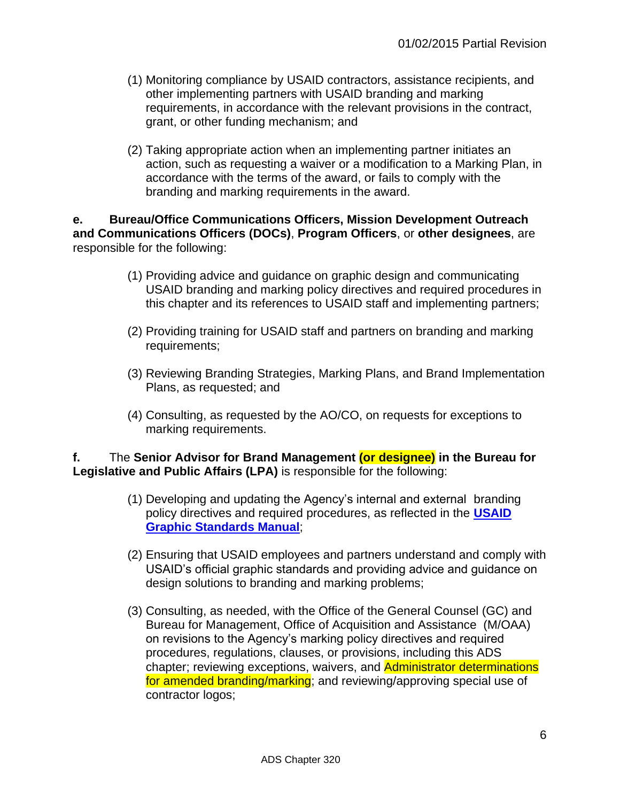- (1) Monitoring compliance by USAID contractors, assistance recipients, and other implementing partners with USAID branding and marking requirements, in accordance with the relevant provisions in the contract, grant, or other funding mechanism; and
- (2) Taking appropriate action when an implementing partner initiates an action, such as requesting a waiver or a modification to a Marking Plan, in accordance with the terms of the award, or fails to comply with the branding and marking requirements in the award.

**e. Bureau/Office Communications Officers, Mission Development Outreach and Communications Officers (DOCs)**, **Program Officers**, or **other designees**, are responsible for the following:

- (1) Providing advice and guidance on graphic design and communicating USAID branding and marking policy directives and required procedures in this chapter and its references to USAID staff and implementing partners;
- (2) Providing training for USAID staff and partners on branding and marking requirements;
- (3) Reviewing Branding Strategies, Marking Plans, and Brand Implementation Plans, as requested; and
- (4) Consulting, as requested by the AO/CO, on requests for exceptions to marking requirements.

**f.** The **Senior Advisor for Brand Management (or designee) in the Bureau for Legislative and Public Affairs (LPA)** is responsible for the following:

- (1) Developing and updating the Agency's internal and external branding policy directives and required procedures, as reflected in the **[USAID](http://www.usaid.gov/branding/gsm)  [Graphic Standards Manual](http://www.usaid.gov/branding/gsm)**;
- (2) Ensuring that USAID employees and partners understand and comply with USAID's official graphic standards and providing advice and guidance on design solutions to branding and marking problems;
- (3) Consulting, as needed, with the Office of the General Counsel (GC) and Bureau for Management, Office of Acquisition and Assistance (M/OAA) on revisions to the Agency's marking policy directives and required procedures, regulations, clauses, or provisions, including this ADS chapter; reviewing exceptions, waivers, and Administrator determinations for amended branding/marking; and reviewing/approving special use of contractor logos;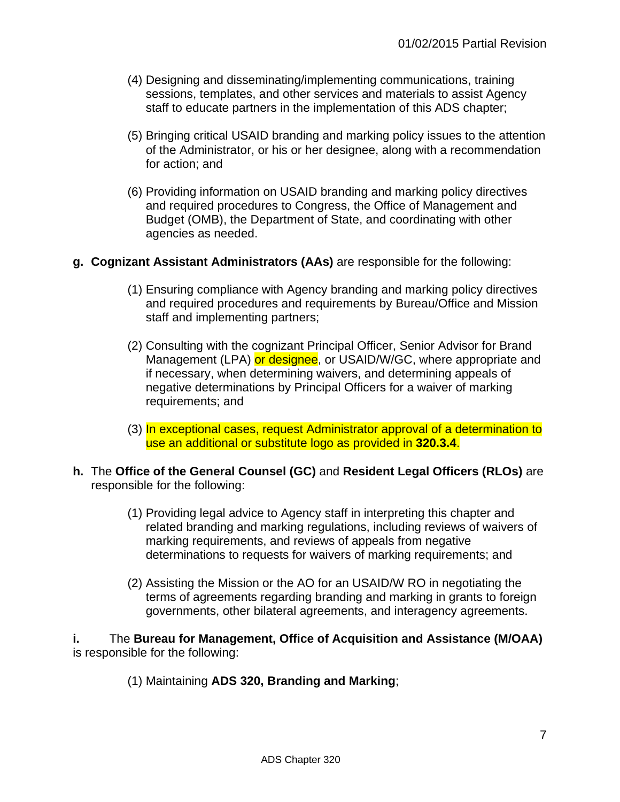- (4) Designing and disseminating/implementing communications, training sessions, templates, and other services and materials to assist Agency staff to educate partners in the implementation of this ADS chapter;
- (5) Bringing critical USAID branding and marking policy issues to the attention of the Administrator, or his or her designee, along with a recommendation for action; and
- (6) Providing information on USAID branding and marking policy directives and required procedures to Congress, the Office of Management and Budget (OMB), the Department of State, and coordinating with other agencies as needed.

#### **g. Cognizant Assistant Administrators (AAs)** are responsible for the following:

- (1) Ensuring compliance with Agency branding and marking policy directives and required procedures and requirements by Bureau/Office and Mission staff and implementing partners;
- (2) Consulting with the cognizant Principal Officer, Senior Advisor for Brand Management (LPA) or designee, or USAID/W/GC, where appropriate and if necessary, when determining waivers, and determining appeals of negative determinations by Principal Officers for a waiver of marking requirements; and
- (3) In exceptional cases, request Administrator approval of a determination to use an additional or substitute logo as provided in **320.3.4**.
- **h.** The **Office of the General Counsel (GC)** and **Resident Legal Officers (RLOs)** are responsible for the following:
	- (1) Providing legal advice to Agency staff in interpreting this chapter and related branding and marking regulations, including reviews of waivers of marking requirements, and reviews of appeals from negative determinations to requests for waivers of marking requirements; and
	- (2) Assisting the Mission or the AO for an USAID/W RO in negotiating the terms of agreements regarding branding and marking in grants to foreign governments, other bilateral agreements, and interagency agreements.

**i.** The **Bureau for Management, Office of Acquisition and Assistance (M/OAA)** is responsible for the following:

(1) Maintaining **ADS 320, Branding and Marking**;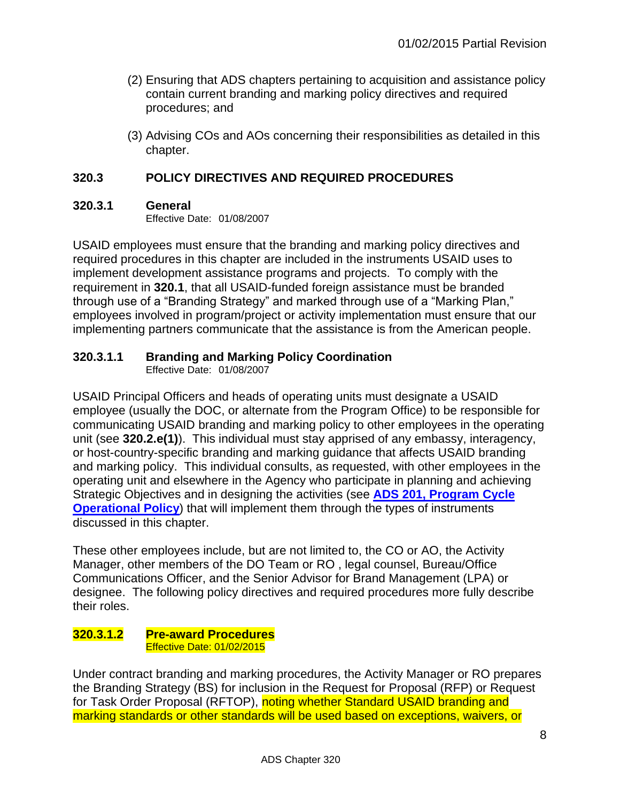- (2) Ensuring that ADS chapters pertaining to acquisition and assistance policy contain current branding and marking policy directives and required procedures; and
- (3) Advising COs and AOs concerning their responsibilities as detailed in this chapter.

#### <span id="page-7-0"></span>**320.3 POLICY DIRECTIVES AND REQUIRED PROCEDURES**

#### <span id="page-7-1"></span>**320.3.1 General**

Effective Date: 01/08/2007

USAID employees must ensure that the branding and marking policy directives and required procedures in this chapter are included in the instruments USAID uses to implement development assistance programs and projects. To comply with the requirement in **320.1**, that all USAID-funded foreign assistance must be branded through use of a "Branding Strategy" and marked through use of a "Marking Plan," employees involved in program/project or activity implementation must ensure that our implementing partners communicate that the assistance is from the American people.

#### <span id="page-7-2"></span>**320.3.1.1 Branding and Marking Policy Coordination**

Effective Date: 01/08/2007

USAID Principal Officers and heads of operating units must designate a USAID employee (usually the DOC, or alternate from the Program Office) to be responsible for communicating USAID branding and marking policy to other employees in the operating unit (see **320.2.e(1)**). This individual must stay apprised of any embassy, interagency, or host-country-specific branding and marking guidance that affects USAID branding and marking policy. This individual consults, as requested, with other employees in the operating unit and elsewhere in the Agency who participate in planning and achieving Strategic Objectives and in designing the activities (see **[ADS 201, Program Cycle](http://www.usaid.gov/ads/policy/200/201)  [Operational Policy](http://www.usaid.gov/ads/policy/200/201)**) that will implement them through the types of instruments discussed in this chapter.

These other employees include, but are not limited to, the CO or AO, the Activity Manager, other members of the DO Team or RO , legal counsel, Bureau/Office Communications Officer, and the Senior Advisor for Brand Management (LPA) or designee. The following policy directives and required procedures more fully describe their roles.

#### <span id="page-7-3"></span>**320.3.1.2 Pre-award Procedures** Effective Date: 01/02/2015

Under contract branding and marking procedures, the Activity Manager or RO prepares the Branding Strategy (BS) for inclusion in the Request for Proposal (RFP) or Request for Task Order Proposal (RFTOP), noting whether Standard USAID branding and marking standards or other standards will be used based on exceptions, waivers, or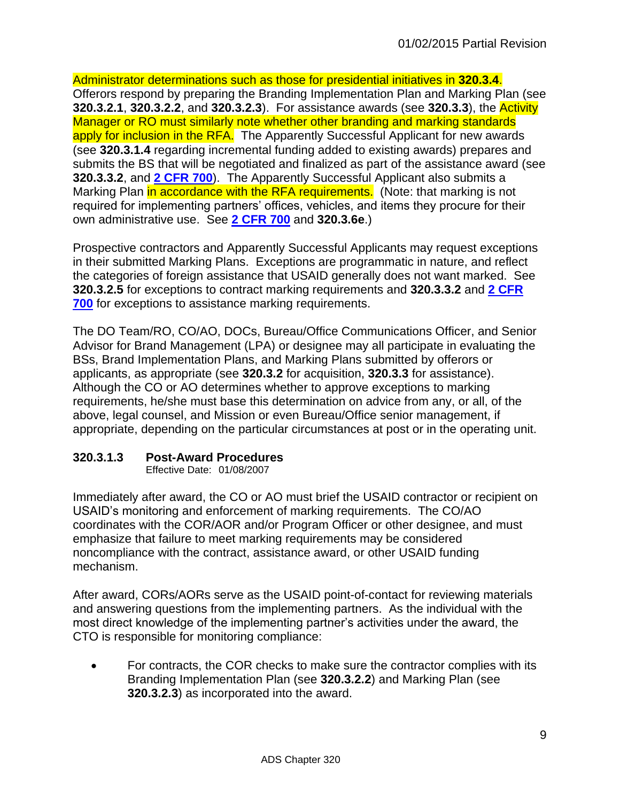Administrator determinations such as those for presidential initiatives in **320.3.4**. Offerors respond by preparing the Branding Implementation Plan and Marking Plan (see **320.3.2.1**, **320.3.2.2**, and **320.3.2.3**). For assistance awards (see **320.3.3**), the Activity Manager or RO must similarly note whether other branding and marking standards apply for inclusion in the RFA. The Apparently Successful Applicant for new awards (see **320.3.1.4** regarding incremental funding added to existing awards) prepares and submits the BS that will be negotiated and finalized as part of the assistance award (see **320.3.3.2**, and **[2 CFR 700](http://www.gpo.gov/fdsys/pkg/FR-2015-09-17/html/2015-23419.htm)**). The Apparently Successful Applicant also submits a Marking Plan in accordance with the RFA requirements. (Note: that marking is not required for implementing partners' offices, vehicles, and items they procure for their own administrative use. See **[2 CFR 700](http://www.gpo.gov/fdsys/pkg/FR-2015-09-17/html/2015-23419.htm)** and **320.3.6e**.)

Prospective contractors and Apparently Successful Applicants may request exceptions in their submitted Marking Plans. Exceptions are programmatic in nature, and reflect the categories of foreign assistance that USAID generally does not want marked. See **320.3.2.5** for exceptions to contract marking requirements and **320.3.3.2** and **[2 CFR](http://www.gpo.gov/fdsys/pkg/FR-2015-09-17/html/2015-23419.htm)  [700](http://www.gpo.gov/fdsys/pkg/FR-2015-09-17/html/2015-23419.htm)** for exceptions to assistance marking requirements.

The DO Team/RO, CO/AO, DOCs, Bureau/Office Communications Officer, and Senior Advisor for Brand Management (LPA) or designee may all participate in evaluating the BSs, Brand Implementation Plans, and Marking Plans submitted by offerors or applicants, as appropriate (see **320.3.2** for acquisition, **320.3.3** for assistance). Although the CO or AO determines whether to approve exceptions to marking requirements, he/she must base this determination on advice from any, or all, of the above, legal counsel, and Mission or even Bureau/Office senior management, if appropriate, depending on the particular circumstances at post or in the operating unit.

# <span id="page-8-0"></span>**320.3.1.3 Post-Award Procedures**

Effective Date: 01/08/2007

Immediately after award, the CO or AO must brief the USAID contractor or recipient on USAID's monitoring and enforcement of marking requirements. The CO/AO coordinates with the COR/AOR and/or Program Officer or other designee, and must emphasize that failure to meet marking requirements may be considered noncompliance with the contract, assistance award, or other USAID funding mechanism.

After award, CORs/AORs serve as the USAID point-of-contact for reviewing materials and answering questions from the implementing partners. As the individual with the most direct knowledge of the implementing partner's activities under the award, the CTO is responsible for monitoring compliance:

 For contracts, the COR checks to make sure the contractor complies with its Branding Implementation Plan (see **320.3.2.2**) and Marking Plan (see **320.3.2.3**) as incorporated into the award.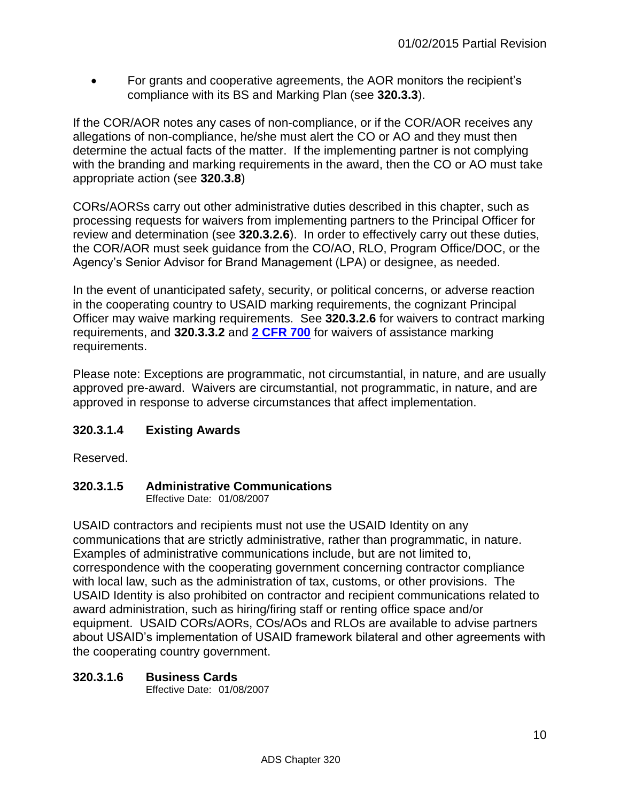For grants and cooperative agreements, the AOR monitors the recipient's compliance with its BS and Marking Plan (see **320.3.3**).

If the COR/AOR notes any cases of non-compliance, or if the COR/AOR receives any allegations of non-compliance, he/she must alert the CO or AO and they must then determine the actual facts of the matter. If the implementing partner is not complying with the branding and marking requirements in the award, then the CO or AO must take appropriate action (see **320.3.8**)

CORs/AORSs carry out other administrative duties described in this chapter, such as processing requests for waivers from implementing partners to the Principal Officer for review and determination (see **320.3.2.6**). In order to effectively carry out these duties, the COR/AOR must seek guidance from the CO/AO, RLO, Program Office/DOC, or the Agency's Senior Advisor for Brand Management (LPA) or designee, as needed.

In the event of unanticipated safety, security, or political concerns, or adverse reaction in the cooperating country to USAID marking requirements, the cognizant Principal Officer may waive marking requirements. See **320.3.2.6** for waivers to contract marking requirements, and **320.3.3.2** and **[2 CFR 700](http://www.gpo.gov/fdsys/pkg/FR-2015-09-17/html/2015-23419.htm)** for waivers of assistance marking requirements.

Please note: Exceptions are programmatic, not circumstantial, in nature, and are usually approved pre-award. Waivers are circumstantial, not programmatic, in nature, and are approved in response to adverse circumstances that affect implementation.

# <span id="page-9-0"></span>**320.3.1.4 Existing Awards**

Reserved.

# <span id="page-9-1"></span>**320.3.1.5 Administrative Communications**

Effective Date: 01/08/2007

USAID contractors and recipients must not use the USAID Identity on any communications that are strictly administrative, rather than programmatic, in nature. Examples of administrative communications include, but are not limited to, correspondence with the cooperating government concerning contractor compliance with local law, such as the administration of tax, customs, or other provisions. The USAID Identity is also prohibited on contractor and recipient communications related to award administration, such as hiring/firing staff or renting office space and/or equipment. USAID CORs/AORs, COs/AOs and RLOs are available to advise partners about USAID's implementation of USAID framework bilateral and other agreements with the cooperating country government.

# <span id="page-9-2"></span>**320.3.1.6 Business Cards**

Effective Date: 01/08/2007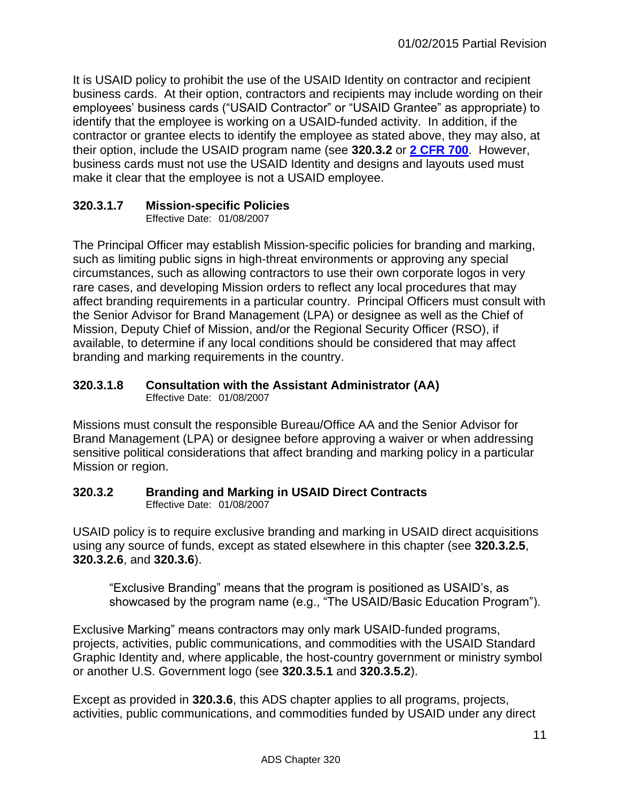It is USAID policy to prohibit the use of the USAID Identity on contractor and recipient business cards. At their option, contractors and recipients may include wording on their employees' business cards ("USAID Contractor" or "USAID Grantee" as appropriate) to identify that the employee is working on a USAID-funded activity. In addition, if the contractor or grantee elects to identify the employee as stated above, they may also, at their option, include the USAID program name (see **320.3.2** or **[2 CFR 700](http://www.gpo.gov/fdsys/pkg/FR-2015-09-17/html/2015-23419.htm)**. However, business cards must not use the USAID Identity and designs and layouts used must make it clear that the employee is not a USAID employee.

# <span id="page-10-0"></span>**320.3.1.7 Mission-specific Policies**

Effective Date: 01/08/2007

The Principal Officer may establish Mission-specific policies for branding and marking, such as limiting public signs in high-threat environments or approving any special circumstances, such as allowing contractors to use their own corporate logos in very rare cases, and developing Mission orders to reflect any local procedures that may affect branding requirements in a particular country. Principal Officers must consult with the Senior Advisor for Brand Management (LPA) or designee as well as the Chief of Mission, Deputy Chief of Mission, and/or the Regional Security Officer (RSO), if available, to determine if any local conditions should be considered that may affect branding and marking requirements in the country.

#### <span id="page-10-1"></span>**320.3.1.8 Consultation with the Assistant Administrator (AA)**  Effective Date: 01/08/2007

Missions must consult the responsible Bureau/Office AA and the Senior Advisor for Brand Management (LPA) or designee before approving a waiver or when addressing sensitive political considerations that affect branding and marking policy in a particular Mission or region.

#### <span id="page-10-2"></span>**320.3.2 Branding and Marking in USAID Direct Contracts** Effective Date: 01/08/2007

USAID policy is to require exclusive branding and marking in USAID direct acquisitions using any source of funds, except as stated elsewhere in this chapter (see **320.3.2.5**, **320.3.2.6**, and **320.3.6**).

"Exclusive Branding" means that the program is positioned as USAID's, as showcased by the program name (e.g., "The USAID/Basic Education Program").

Exclusive Marking" means contractors may only mark USAID-funded programs, projects, activities, public communications, and commodities with the USAID Standard Graphic Identity and, where applicable, the host-country government or ministry symbol or another U.S. Government logo (see **320.3.5.1** and **320.3.5.2**).

Except as provided in **320.3.6**, this ADS chapter applies to all programs, projects, activities, public communications, and commodities funded by USAID under any direct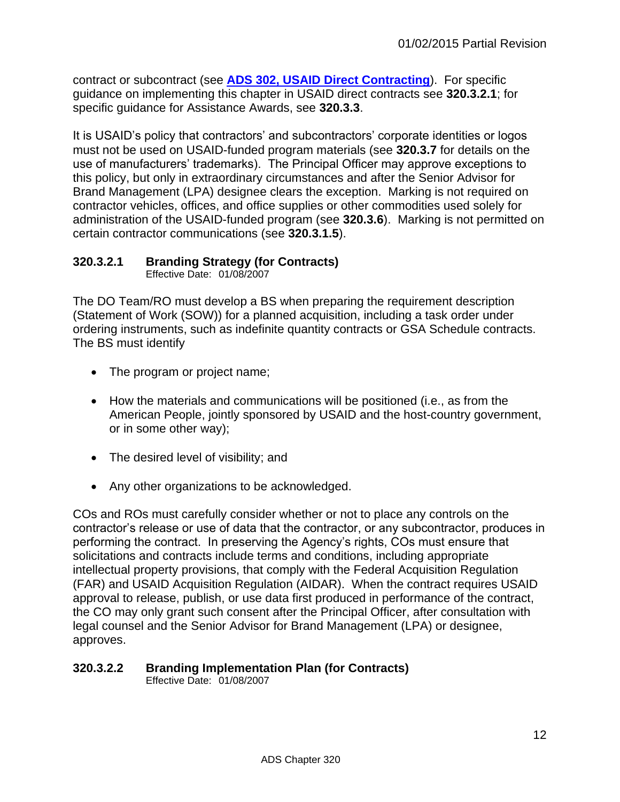contract or subcontract (see **[ADS 302, USAID Direct Contracting](http://www.usaid.gov/ads/policy/300/302)**). For specific guidance on implementing this chapter in USAID direct contracts see **320.3.2.1**; for specific guidance for Assistance Awards, see **320.3.3**.

It is USAID's policy that contractors' and subcontractors' corporate identities or logos must not be used on USAID-funded program materials (see **320.3.7** for details on the use of manufacturers' trademarks). The Principal Officer may approve exceptions to this policy, but only in extraordinary circumstances and after the Senior Advisor for Brand Management (LPA) designee clears the exception. Marking is not required on contractor vehicles, offices, and office supplies or other commodities used solely for administration of the USAID-funded program (see **320.3.6**). Marking is not permitted on certain contractor communications (see **320.3.1.5**).

# <span id="page-11-0"></span>**320.3.2.1 Branding Strategy (for Contracts)**

Effective Date: 01/08/2007

The DO Team/RO must develop a BS when preparing the requirement description (Statement of Work (SOW)) for a planned acquisition, including a task order under ordering instruments, such as indefinite quantity contracts or GSA Schedule contracts. The BS must identify

- The program or project name;
- How the materials and communications will be positioned (i.e., as from the American People, jointly sponsored by USAID and the host-country government, or in some other way);
- The desired level of visibility; and
- Any other organizations to be acknowledged.

COs and ROs must carefully consider whether or not to place any controls on the contractor's release or use of data that the contractor, or any subcontractor, produces in performing the contract. In preserving the Agency's rights, COs must ensure that solicitations and contracts include terms and conditions, including appropriate intellectual property provisions, that comply with the Federal Acquisition Regulation (FAR) and USAID Acquisition Regulation (AIDAR). When the contract requires USAID approval to release, publish, or use data first produced in performance of the contract, the CO may only grant such consent after the Principal Officer, after consultation with legal counsel and the Senior Advisor for Brand Management (LPA) or designee, approves.

# <span id="page-11-1"></span>**320.3.2.2 Branding Implementation Plan (for Contracts)**

Effective Date: 01/08/2007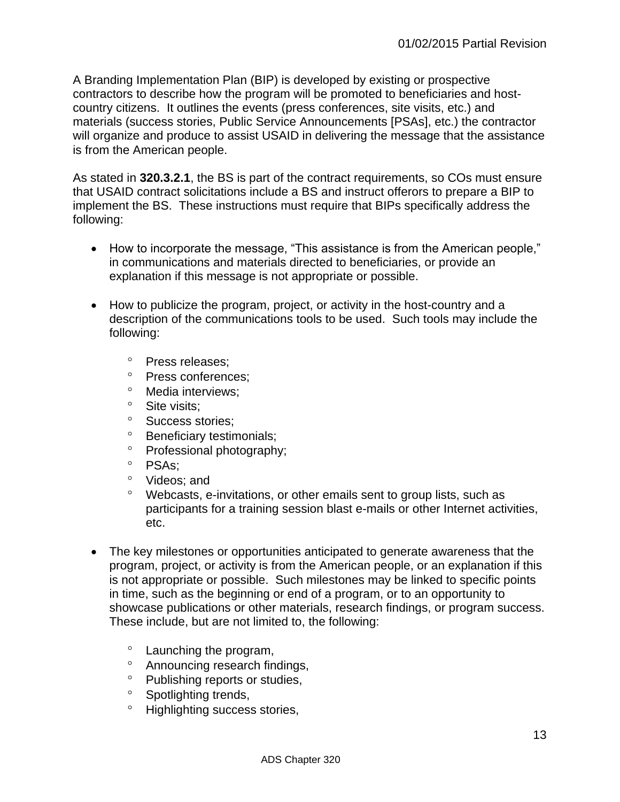A Branding Implementation Plan (BIP) is developed by existing or prospective contractors to describe how the program will be promoted to beneficiaries and hostcountry citizens. It outlines the events (press conferences, site visits, etc.) and materials (success stories, Public Service Announcements [PSAs], etc.) the contractor will organize and produce to assist USAID in delivering the message that the assistance is from the American people.

As stated in **320.3.2.1**, the BS is part of the contract requirements, so COs must ensure that USAID contract solicitations include a BS and instruct offerors to prepare a BIP to implement the BS. These instructions must require that BIPs specifically address the following:

- How to incorporate the message, "This assistance is from the American people," in communications and materials directed to beneficiaries, or provide an explanation if this message is not appropriate or possible.
- How to publicize the program, project, or activity in the host-country and a description of the communications tools to be used. Such tools may include the following:
	- <sup>o</sup> Press releases:
	- <sup>o</sup> Press conferences;
	- <sup>o</sup> Media interviews:
	- <sup>o</sup> Site visits;
	- <sup>o</sup> Success stories:
	- <sup>o</sup> Beneficiary testimonials;
	- <sup>o</sup> Professional photography;
	- $^{\circ}$  PSAs;
	- <sup>o</sup> Videos; and
	- Webcasts, e-invitations, or other emails sent to group lists, such as participants for a training session blast e-mails or other Internet activities, etc.
- The key milestones or opportunities anticipated to generate awareness that the program, project, or activity is from the American people, or an explanation if this is not appropriate or possible. Such milestones may be linked to specific points in time, such as the beginning or end of a program, or to an opportunity to showcase publications or other materials, research findings, or program success. These include, but are not limited to, the following:
	- Launching the program,
	- Announcing research findings,
	- <sup>o</sup> Publishing reports or studies,
	- <sup>o</sup> Spotlighting trends,
	- <sup>o</sup> Highlighting success stories,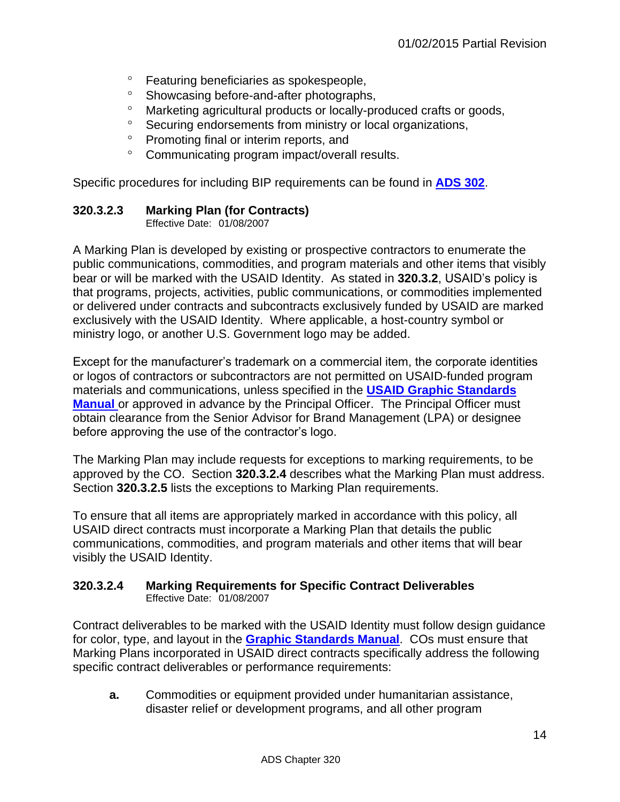- Featuring beneficiaries as spokespeople,
- <sup>o</sup> Showcasing before-and-after photographs,
- Marketing agricultural products or locally-produced crafts or goods,
- <sup>o</sup> Securing endorsements from ministry or local organizations,
- <sup>o</sup> Promoting final or interim reports, and
- Communicating program impact/overall results.

Specific procedures for including BIP requirements can be found in **[ADS 302](http://www.usaid.gov/ads/policy/300/302)**.

# <span id="page-13-0"></span>**320.3.2.3 Marking Plan (for Contracts)**

Effective Date: 01/08/2007

A Marking Plan is developed by existing or prospective contractors to enumerate the public communications, commodities, and program materials and other items that visibly bear or will be marked with the USAID Identity. As stated in **320.3.2**, USAID's policy is that programs, projects, activities, public communications, or commodities implemented or delivered under contracts and subcontracts exclusively funded by USAID are marked exclusively with the USAID Identity. Where applicable, a host-country symbol or ministry logo, or another U.S. Government logo may be added.

Except for the manufacturer's trademark on a commercial item, the corporate identities or logos of contractors or subcontractors are not permitted on USAID-funded program materials and communications, unless specified in the **[USAID Graphic Standards](http://www.usaid.gov/branding/gsm)  [Manual](http://www.usaid.gov/branding/gsm)** or approved in advance by the Principal Officer. The Principal Officer must obtain clearance from the Senior Advisor for Brand Management (LPA) or designee before approving the use of the contractor's logo.

The Marking Plan may include requests for exceptions to marking requirements, to be approved by the CO. Section **320.3.2.4** describes what the Marking Plan must address. Section **320.3.2.5** lists the exceptions to Marking Plan requirements.

To ensure that all items are appropriately marked in accordance with this policy, all USAID direct contracts must incorporate a Marking Plan that details the public communications, commodities, and program materials and other items that will bear visibly the USAID Identity.

#### <span id="page-13-1"></span>**320.3.2.4 Marking Requirements for Specific Contract Deliverables**  Effective Date: 01/08/2007

Contract deliverables to be marked with the USAID Identity must follow design guidance for color, type, and layout in the **[Graphic Standards Manual](http://www.usaid.gov/branding/gsm)**. COs must ensure that Marking Plans incorporated in USAID direct contracts specifically address the following specific contract deliverables or performance requirements:

**a.** Commodities or equipment provided under humanitarian assistance, disaster relief or development programs, and all other program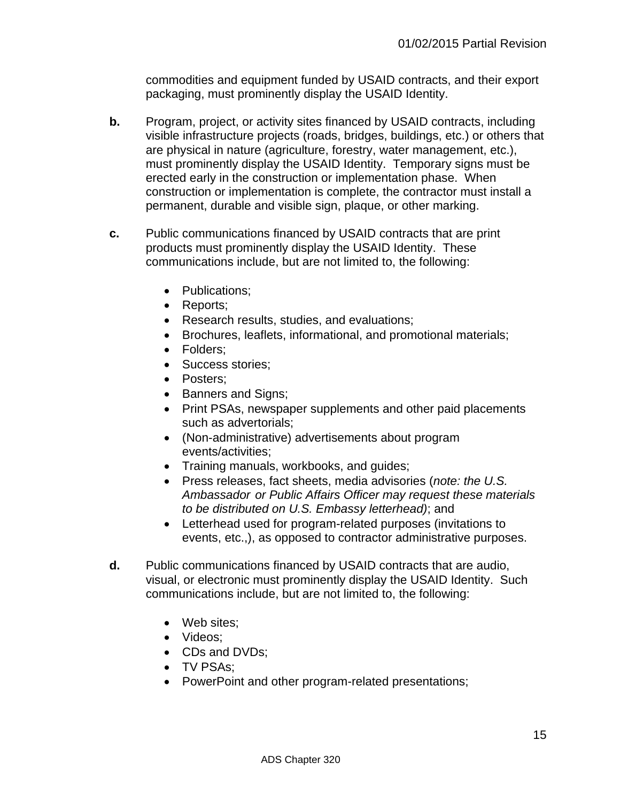commodities and equipment funded by USAID contracts, and their export packaging, must prominently display the USAID Identity.

- **b.** Program, project, or activity sites financed by USAID contracts, including visible infrastructure projects (roads, bridges, buildings, etc.) or others that are physical in nature (agriculture, forestry, water management, etc.), must prominently display the USAID Identity. Temporary signs must be erected early in the construction or implementation phase. When construction or implementation is complete, the contractor must install a permanent, durable and visible sign, plaque, or other marking.
- **c.** Public communications financed by USAID contracts that are print products must prominently display the USAID Identity. These communications include, but are not limited to, the following:
	- Publications:
	- Reports;
	- Research results, studies, and evaluations;
	- Brochures, leaflets, informational, and promotional materials;
	- Folders:
	- Success stories:
	- Posters;
	- Banners and Signs;
	- Print PSAs, newspaper supplements and other paid placements such as advertorials;
	- (Non-administrative) advertisements about program events/activities;
	- Training manuals, workbooks, and guides;
	- Press releases, fact sheets, media advisories (*note: the U.S. Ambassador or Public Affairs Officer may request these materials to be distributed on U.S. Embassy letterhead)*; and
	- Letterhead used for program-related purposes (invitations to events, etc.,), as opposed to contractor administrative purposes.
- **d.** Public communications financed by USAID contracts that are audio, visual, or electronic must prominently display the USAID Identity. Such communications include, but are not limited to, the following:
	- Web sites:
	- Videos;
	- CDs and DVDs;
	- TV PSAs;
	- PowerPoint and other program-related presentations;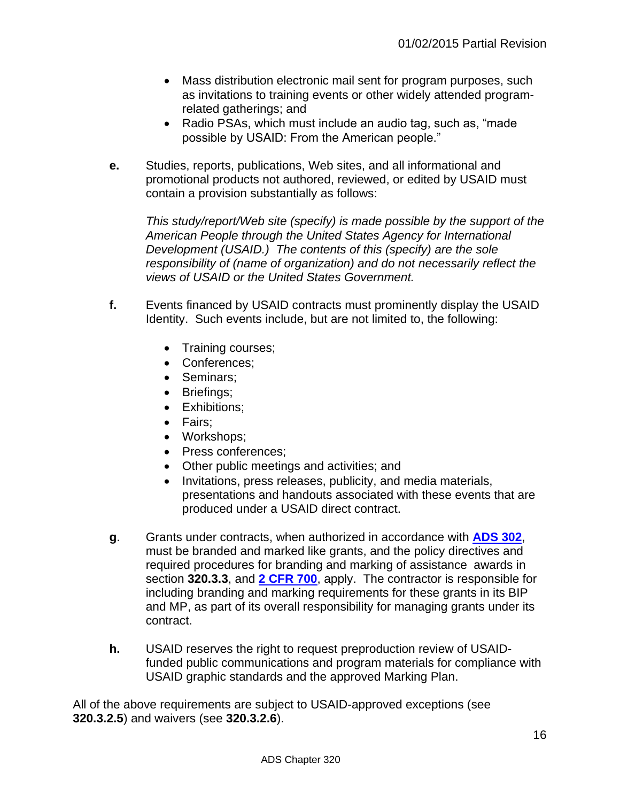- Mass distribution electronic mail sent for program purposes, such as invitations to training events or other widely attended programrelated gatherings; and
- Radio PSAs, which must include an audio tag, such as, "made possible by USAID: From the American people."
- **e.** Studies, reports, publications, Web sites, and all informational and promotional products not authored, reviewed, or edited by USAID must contain a provision substantially as follows:

*This study/report/Web site (specify) is made possible by the support of the American People through the United States Agency for International Development (USAID.) The contents of this (specify) are the sole responsibility of (name of organization) and do not necessarily reflect the views of USAID or the United States Government.*

- **f.** Events financed by USAID contracts must prominently display the USAID Identity. Such events include, but are not limited to, the following:
	- Training courses;
	- Conferences;
	- Seminars;
	- Briefings;
	- Exhibitions:
	- Fairs:
	- Workshops;
	- Press conferences:
	- Other public meetings and activities; and
	- Invitations, press releases, publicity, and media materials, presentations and handouts associated with these events that are produced under a USAID direct contract.
- **g**. Grants under contracts, when authorized in accordance with **[ADS 302](http://www.usaid.gov/ads/policy/300/302)**, must be branded and marked like grants, and the policy directives and required procedures for branding and marking of assistance awards in section **320.3.3**, and **[2 CFR 700](http://www.gpo.gov/fdsys/pkg/FR-2015-09-17/html/2015-23419.htm)**, apply. The contractor is responsible for including branding and marking requirements for these grants in its BIP and MP, as part of its overall responsibility for managing grants under its contract.
- **h.** USAID reserves the right to request preproduction review of USAIDfunded public communications and program materials for compliance with USAID graphic standards and the approved Marking Plan.

All of the above requirements are subject to USAID-approved exceptions (see **320.3.2.5**) and waivers (see **320.3.2.6**).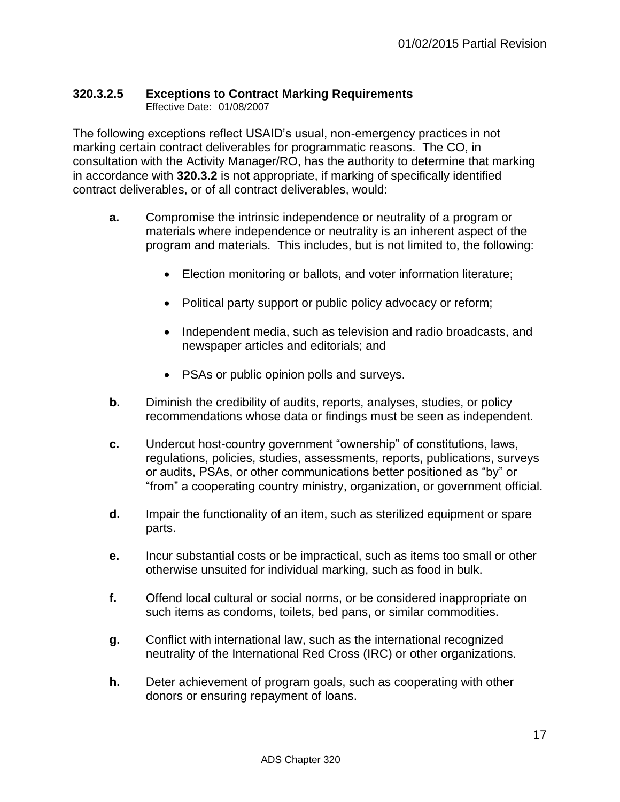# <span id="page-16-0"></span>**320.3.2.5 Exceptions to Contract Marking Requirements**

Effective Date: 01/08/2007

The following exceptions reflect USAID's usual, non-emergency practices in not marking certain contract deliverables for programmatic reasons. The CO, in consultation with the Activity Manager/RO, has the authority to determine that marking in accordance with **320.3.2** is not appropriate, if marking of specifically identified contract deliverables, or of all contract deliverables, would:

- **a.** Compromise the intrinsic independence or neutrality of a program or materials where independence or neutrality is an inherent aspect of the program and materials. This includes, but is not limited to, the following:
	- Election monitoring or ballots, and voter information literature;
	- Political party support or public policy advocacy or reform;
	- Independent media, such as television and radio broadcasts, and newspaper articles and editorials; and
	- PSAs or public opinion polls and surveys.
- **b.** Diminish the credibility of audits, reports, analyses, studies, or policy recommendations whose data or findings must be seen as independent.
- **c.** Undercut host-country government "ownership" of constitutions, laws, regulations, policies, studies, assessments, reports, publications, surveys or audits, PSAs, or other communications better positioned as "by" or "from" a cooperating country ministry, organization, or government official.
- **d.** Impair the functionality of an item, such as sterilized equipment or spare parts.
- **e.** Incur substantial costs or be impractical, such as items too small or other otherwise unsuited for individual marking, such as food in bulk.
- **f.** Offend local cultural or social norms, or be considered inappropriate on such items as condoms, toilets, bed pans, or similar commodities.
- **g.** Conflict with international law, such as the international recognized neutrality of the International Red Cross (IRC) or other organizations.
- **h.** Deter achievement of program goals, such as cooperating with other donors or ensuring repayment of loans.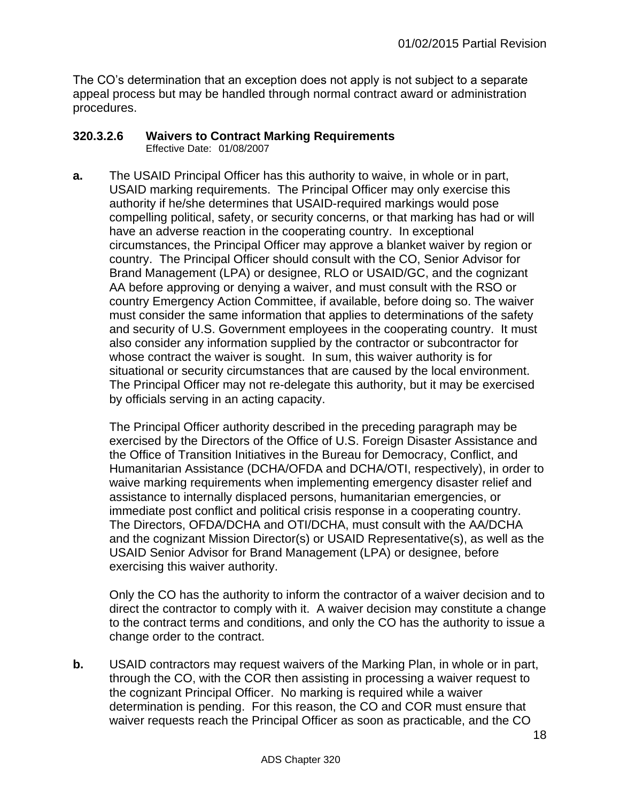The CO's determination that an exception does not apply is not subject to a separate appeal process but may be handled through normal contract award or administration procedures.

#### <span id="page-17-0"></span>**320.3.2.6 Waivers to Contract Marking Requirements**

Effective Date: 01/08/2007

**a.** The USAID Principal Officer has this authority to waive, in whole or in part, USAID marking requirements. The Principal Officer may only exercise this authority if he/she determines that USAID-required markings would pose compelling political, safety, or security concerns, or that marking has had or will have an adverse reaction in the cooperating country. In exceptional circumstances, the Principal Officer may approve a blanket waiver by region or country. The Principal Officer should consult with the CO, Senior Advisor for Brand Management (LPA) or designee, RLO or USAID/GC, and the cognizant AA before approving or denying a waiver, and must consult with the RSO or country Emergency Action Committee, if available, before doing so. The waiver must consider the same information that applies to determinations of the safety and security of U.S. Government employees in the cooperating country. It must also consider any information supplied by the contractor or subcontractor for whose contract the waiver is sought. In sum, this waiver authority is for situational or security circumstances that are caused by the local environment. The Principal Officer may not re-delegate this authority, but it may be exercised by officials serving in an acting capacity.

The Principal Officer authority described in the preceding paragraph may be exercised by the Directors of the Office of U.S. Foreign Disaster Assistance and the Office of Transition Initiatives in the Bureau for Democracy, Conflict, and Humanitarian Assistance (DCHA/OFDA and DCHA/OTI, respectively), in order to waive marking requirements when implementing emergency disaster relief and assistance to internally displaced persons, humanitarian emergencies, or immediate post conflict and political crisis response in a cooperating country. The Directors, OFDA/DCHA and OTI/DCHA, must consult with the AA/DCHA and the cognizant Mission Director(s) or USAID Representative(s), as well as the USAID Senior Advisor for Brand Management (LPA) or designee, before exercising this waiver authority.

Only the CO has the authority to inform the contractor of a waiver decision and to direct the contractor to comply with it. A waiver decision may constitute a change to the contract terms and conditions, and only the CO has the authority to issue a change order to the contract.

**b.** USAID contractors may request waivers of the Marking Plan, in whole or in part, through the CO, with the COR then assisting in processing a waiver request to the cognizant Principal Officer. No marking is required while a waiver determination is pending. For this reason, the CO and COR must ensure that waiver requests reach the Principal Officer as soon as practicable, and the CO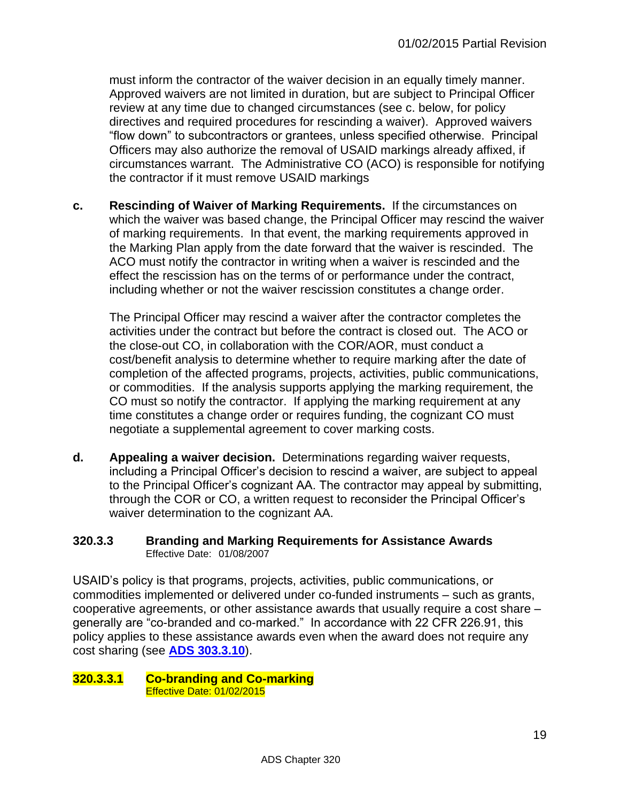must inform the contractor of the waiver decision in an equally timely manner. Approved waivers are not limited in duration, but are subject to Principal Officer review at any time due to changed circumstances (see c. below, for policy directives and required procedures for rescinding a waiver). Approved waivers "flow down" to subcontractors or grantees, unless specified otherwise. Principal Officers may also authorize the removal of USAID markings already affixed, if circumstances warrant. The Administrative CO (ACO) is responsible for notifying the contractor if it must remove USAID markings

**c. Rescinding of Waiver of Marking Requirements.** If the circumstances on which the waiver was based change, the Principal Officer may rescind the waiver of marking requirements. In that event, the marking requirements approved in the Marking Plan apply from the date forward that the waiver is rescinded. The ACO must notify the contractor in writing when a waiver is rescinded and the effect the rescission has on the terms of or performance under the contract, including whether or not the waiver rescission constitutes a change order.

The Principal Officer may rescind a waiver after the contractor completes the activities under the contract but before the contract is closed out. The ACO or the close-out CO, in collaboration with the COR/AOR, must conduct a cost/benefit analysis to determine whether to require marking after the date of completion of the affected programs, projects, activities, public communications, or commodities. If the analysis supports applying the marking requirement, the CO must so notify the contractor. If applying the marking requirement at any time constitutes a change order or requires funding, the cognizant CO must negotiate a supplemental agreement to cover marking costs.

**d. Appealing a waiver decision.** Determinations regarding waiver requests, including a Principal Officer's decision to rescind a waiver, are subject to appeal to the Principal Officer's cognizant AA. The contractor may appeal by submitting, through the COR or CO, a written request to reconsider the Principal Officer's waiver determination to the cognizant AA.

#### <span id="page-18-0"></span>**320.3.3 Branding and Marking Requirements for Assistance Awards** Effective Date: 01/08/2007

USAID's policy is that programs, projects, activities, public communications, or commodities implemented or delivered under co-funded instruments – such as grants, cooperative agreements, or other assistance awards that usually require a cost share – generally are "co-branded and co-marked." In accordance with 22 CFR 226.91, this policy applies to these assistance awards even when the award does not require any cost sharing (see **[ADS 303.3.10](http://www.usaid.gov/ads/policy/300/303)**).

<span id="page-18-1"></span>**320.3.3.1 Co-branding and Co-marking**  Effective Date: 01/02/2015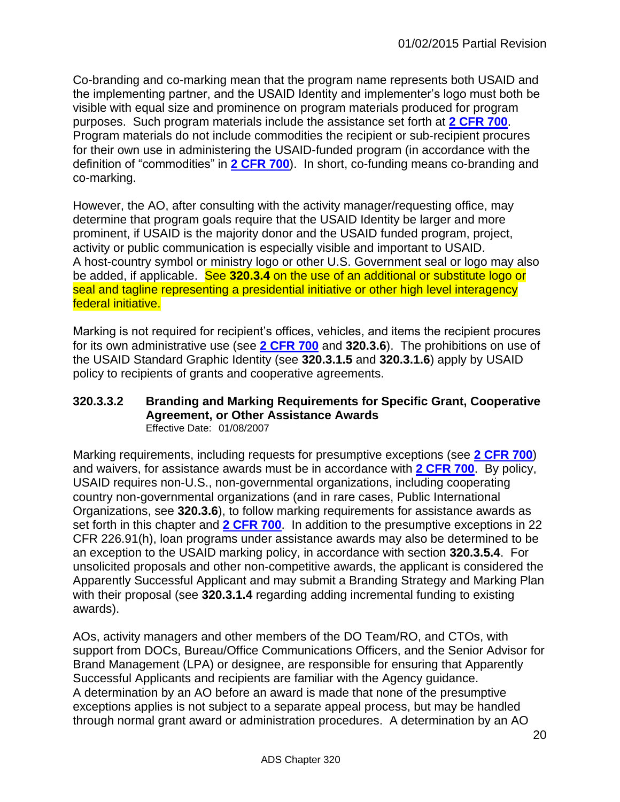Co-branding and co-marking mean that the program name represents both USAID and the implementing partner, and the USAID Identity and implementer's logo must both be visible with equal size and prominence on program materials produced for program purposes. Such program materials include the assistance set forth at **[2 CFR 700](http://www.gpo.gov/fdsys/pkg/FR-2015-09-17/html/2015-23419.htm)**. Program materials do not include commodities the recipient or sub-recipient procures for their own use in administering the USAID-funded program (in accordance with the definition of "commodities" in **[2 CFR 700](http://www.gpo.gov/fdsys/pkg/FR-2015-09-17/html/2015-23419.htm)**). In short, co-funding means co-branding and co-marking.

However, the AO, after consulting with the activity manager/requesting office, may determine that program goals require that the USAID Identity be larger and more prominent, if USAID is the majority donor and the USAID funded program, project, activity or public communication is especially visible and important to USAID. A host-country symbol or ministry logo or other U.S. Government seal or logo may also be added, if applicable. See **320.3.4** on the use of an additional or substitute logo or seal and tagline representing a presidential initiative or other high level interagency federal initiative.

Marking is not required for recipient's offices, vehicles, and items the recipient procures for its own administrative use (see **[2 CFR 700](http://www.gpo.gov/fdsys/pkg/FR-2015-09-17/html/2015-23419.htm)** and **320.3.6**). The prohibitions on use of the USAID Standard Graphic Identity (see **320.3.1.5** and **320.3.1.6**) apply by USAID policy to recipients of grants and cooperative agreements.

#### <span id="page-19-0"></span>**320.3.3.2 Branding and Marking Requirements for Specific Grant, Cooperative Agreement, or Other Assistance Awards**  Effective Date: 01/08/2007

Marking requirements, including requests for presumptive exceptions (see **[2 CFR 700](http://www.gpo.gov/fdsys/pkg/FR-2015-09-17/html/2015-23419.htm)**) and waivers, for assistance awards must be in accordance with **[2 CFR 700](http://www.gpo.gov/fdsys/pkg/FR-2015-09-17/html/2015-23419.htm)**. By policy, USAID requires non-U.S., non-governmental organizations, including cooperating country non-governmental organizations (and in rare cases, Public International Organizations, see **320.3.6**), to follow marking requirements for assistance awards as set forth in this chapter and **[2 CFR 700](http://www.gpo.gov/fdsys/pkg/FR-2015-09-17/html/2015-23419.htm)**. In addition to the presumptive exceptions in 22 CFR 226.91(h), loan programs under assistance awards may also be determined to be an exception to the USAID marking policy, in accordance with section **320.3.5.4**. For unsolicited proposals and other non-competitive awards, the applicant is considered the Apparently Successful Applicant and may submit a Branding Strategy and Marking Plan with their proposal (see **320.3.1.4** regarding adding incremental funding to existing awards).

AOs, activity managers and other members of the DO Team/RO, and CTOs, with support from DOCs, Bureau/Office Communications Officers, and the Senior Advisor for Brand Management (LPA) or designee, are responsible for ensuring that Apparently Successful Applicants and recipients are familiar with the Agency guidance. A determination by an AO before an award is made that none of the presumptive exceptions applies is not subject to a separate appeal process, but may be handled through normal grant award or administration procedures. A determination by an AO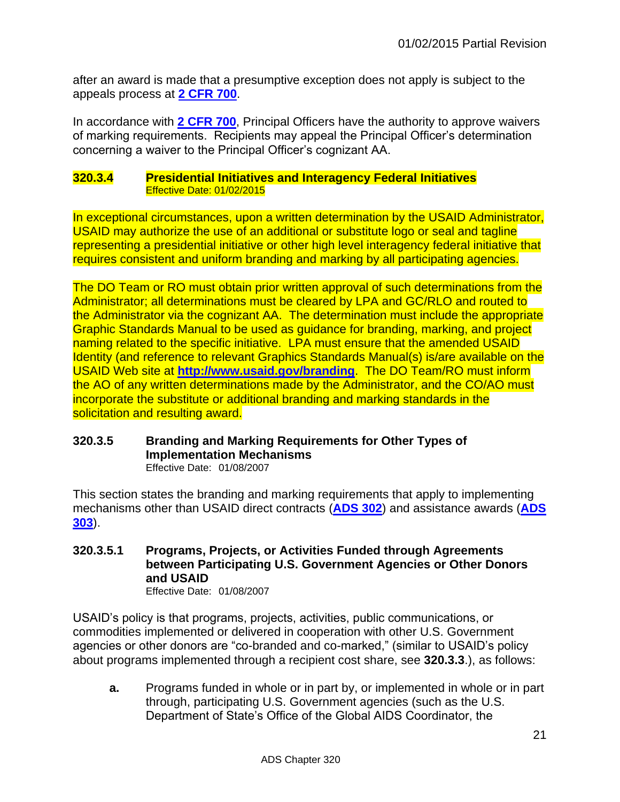after an award is made that a presumptive exception does not apply is subject to the appeals process at **[2 CFR 700](http://www.gpo.gov/fdsys/pkg/FR-2015-09-17/html/2015-23419.htm)**.

In accordance with **[2 CFR 700](http://www.gpo.gov/fdsys/pkg/FR-2015-09-17/html/2015-23419.htm)**, Principal Officers have the authority to approve waivers of marking requirements. Recipients may appeal the Principal Officer's determination concerning a waiver to the Principal Officer's cognizant AA.

#### <span id="page-20-0"></span>**320.3.4 Presidential Initiatives and Interagency Federal Initiatives** Effective Date: 01/02/2015

In exceptional circumstances, upon a written determination by the USAID Administrator, USAID may authorize the use of an additional or substitute logo or seal and tagline representing a presidential initiative or other high level interagency federal initiative that requires consistent and uniform branding and marking by all participating agencies.

The DO Team or RO must obtain prior written approval of such determinations from the Administrator; all determinations must be cleared by LPA and GC/RLO and routed to the Administrator via the cognizant AA. The determination must include the appropriate Graphic Standards Manual to be used as guidance for branding, marking, and project naming related to the specific initiative. LPA must ensure that the amended USAID Identity (and reference to relevant Graphics Standards Manual(s) is/are available on the USAID Web site at **<http://www.usaid.gov/branding>**. The DO Team/RO must inform the AO of any written determinations made by the Administrator, and the CO/AO must incorporate the substitute or additional branding and marking standards in the solicitation and resulting award.

# <span id="page-20-1"></span>**320.3.5 Branding and Marking Requirements for Other Types of Implementation Mechanisms**

Effective Date: 01/08/2007

This section states the branding and marking requirements that apply to implementing mechanisms other than USAID direct contracts (**[ADS 302](http://www.usaid.gov/ads/policy/300/302)**) and assistance awards (**[ADS](http://www.usaid.gov/ads/policy/300/303)  [303](http://www.usaid.gov/ads/policy/300/303)**).

<span id="page-20-2"></span>**320.3.5.1 Programs, Projects, or Activities Funded through Agreements between Participating U.S. Government Agencies or Other Donors and USAID** 

Effective Date: 01/08/2007

USAID's policy is that programs, projects, activities, public communications, or commodities implemented or delivered in cooperation with other U.S. Government agencies or other donors are "co-branded and co-marked," (similar to USAID's policy about programs implemented through a recipient cost share, see **320.3.3**.), as follows:

**a.** Programs funded in whole or in part by, or implemented in whole or in part through, participating U.S. Government agencies (such as the U.S. Department of State's Office of the Global AIDS Coordinator, the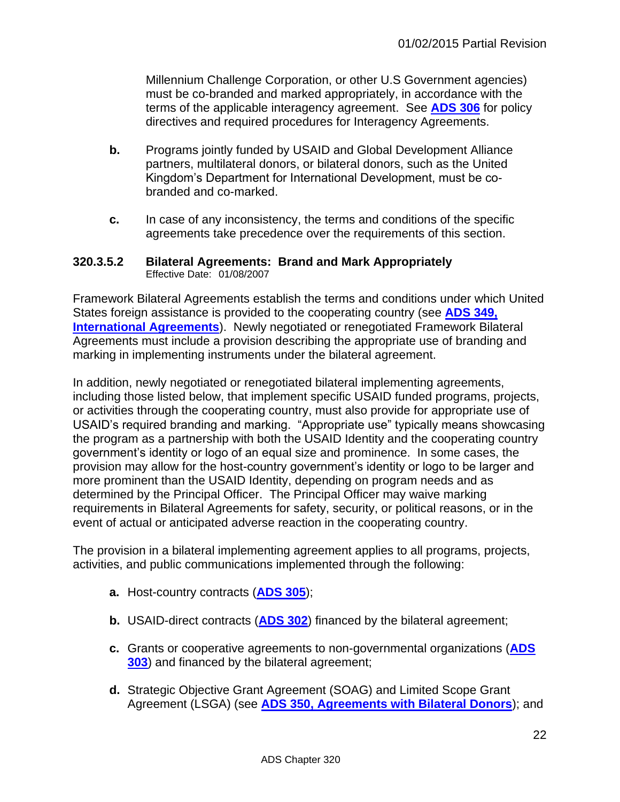Millennium Challenge Corporation, or other U.S Government agencies) must be co-branded and marked appropriately, in accordance with the terms of the applicable interagency agreement. See **[ADS 306](http://www.usaid.gov/ads/policy/300/306)** for policy directives and required procedures for Interagency Agreements.

- **b.** Programs jointly funded by USAID and Global Development Alliance partners, multilateral donors, or bilateral donors, such as the United Kingdom's Department for International Development, must be cobranded and co-marked.
- **c.** In case of any inconsistency, the terms and conditions of the specific agreements take precedence over the requirements of this section.

#### <span id="page-21-0"></span>**320.3.5.2 Bilateral Agreements: Brand and Mark Appropriately** Effective Date: 01/08/2007

Framework Bilateral Agreements establish the terms and conditions under which United States foreign assistance is provided to the cooperating country (see **[ADS 349,](http://www.usaid.gov/ads/policy/300/349)  [International Agreements](http://www.usaid.gov/ads/policy/300/349)**). Newly negotiated or renegotiated Framework Bilateral Agreements must include a provision describing the appropriate use of branding and marking in implementing instruments under the bilateral agreement.

In addition, newly negotiated or renegotiated bilateral implementing agreements, including those listed below, that implement specific USAID funded programs, projects, or activities through the cooperating country, must also provide for appropriate use of USAID's required branding and marking. "Appropriate use" typically means showcasing the program as a partnership with both the USAID Identity and the cooperating country government's identity or logo of an equal size and prominence. In some cases, the provision may allow for the host-country government's identity or logo to be larger and more prominent than the USAID Identity, depending on program needs and as determined by the Principal Officer. The Principal Officer may waive marking requirements in Bilateral Agreements for safety, security, or political reasons, or in the event of actual or anticipated adverse reaction in the cooperating country.

The provision in a bilateral implementing agreement applies to all programs, projects, activities, and public communications implemented through the following:

- **a.** Host-country contracts (**[ADS 305](http://www.usaid.gov/ads/policy/300/305)**);
- **b.** USAID-direct contracts (**[ADS 302](http://www.usaid.gov/ads/policy/300/302)**) financed by the bilateral agreement;
- **c.** Grants or cooperative agreements to non-governmental organizations (**[ADS](http://www.usaid.gov/ads/policy/300/303)  [303](http://www.usaid.gov/ads/policy/300/303)**) and financed by the bilateral agreement;
- **d.** Strategic Objective Grant Agreement (SOAG) and Limited Scope Grant Agreement (LSGA) (see **[ADS 350, Agreements with Bilateral Donors](http://www.usaid.gov/ads/policy/300/350)**); and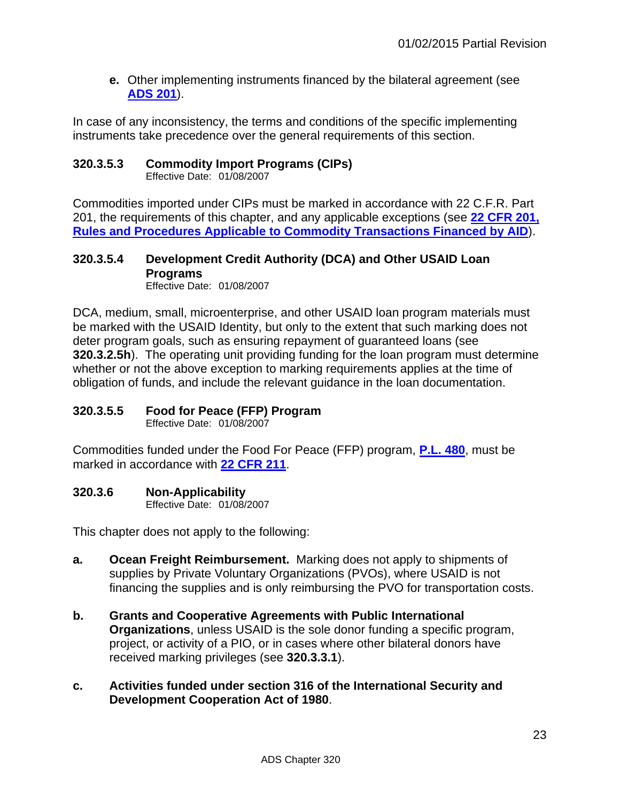**e.** Other implementing instruments financed by the bilateral agreement (see **[ADS 201](http://www.usaid.gov/ads/policy/200/201)**).

In case of any inconsistency, the terms and conditions of the specific implementing instruments take precedence over the general requirements of this section.

#### <span id="page-22-0"></span>**320.3.5.3 Commodity Import Programs (CIPs)**

Effective Date: 01/08/2007

Commodities imported under CIPs must be marked in accordance with 22 C.F.R. Part 201, the requirements of this chapter, and any applicable exceptions (see **[22 CFR 201,](http://www.gpo.gov/fdsys/pkg/CFR-2011-title22-vol1/xml/CFR-2011-title22-vol1-part201.xml)  [Rules and Procedures Applicable to Commodity Transactions Financed by AID](http://www.gpo.gov/fdsys/pkg/CFR-2011-title22-vol1/xml/CFR-2011-title22-vol1-part201.xml)**).

# <span id="page-22-1"></span>**320.3.5.4 Development Credit Authority (DCA) and Other USAID Loan Programs**

Effective Date: 01/08/2007

DCA, medium, small, microenterprise, and other USAID loan program materials must be marked with the USAID Identity, but only to the extent that such marking does not deter program goals, such as ensuring repayment of guaranteed loans (see **320.3.2.5h**). The operating unit providing funding for the loan program must determine whether or not the above exception to marking requirements applies at the time of obligation of funds, and include the relevant guidance in the loan documentation.

# <span id="page-22-2"></span>**320.3.5.5 Food for Peace (FFP) Program**

Effective Date: 01/08/2007

Commodities funded under the Food For Peace (FFP) program, **[P.L. 480](http://www.fas.usda.gov/excredits/FoodAid/pl480/pl480.asp)**, must be marked in accordance with **[22 CFR 211](http://www.gpo.gov/fdsys/pkg/CFR-2011-title22-vol1/xml/CFR-2011-title22-vol1-part211.xml)**.

# <span id="page-22-3"></span>**320.3.6 Non-Applicability**

Effective Date: 01/08/2007

This chapter does not apply to the following:

- **a. Ocean Freight Reimbursement.** Marking does not apply to shipments of supplies by Private Voluntary Organizations (PVOs), where USAID is not financing the supplies and is only reimbursing the PVO for transportation costs.
- **b. Grants and Cooperative Agreements with Public International Organizations**, unless USAID is the sole donor funding a specific program, project, or activity of a PIO, or in cases where other bilateral donors have received marking privileges (see **320.3.3.1**).
- **c. Activities funded under section 316 of the International Security and Development Cooperation Act of 1980**.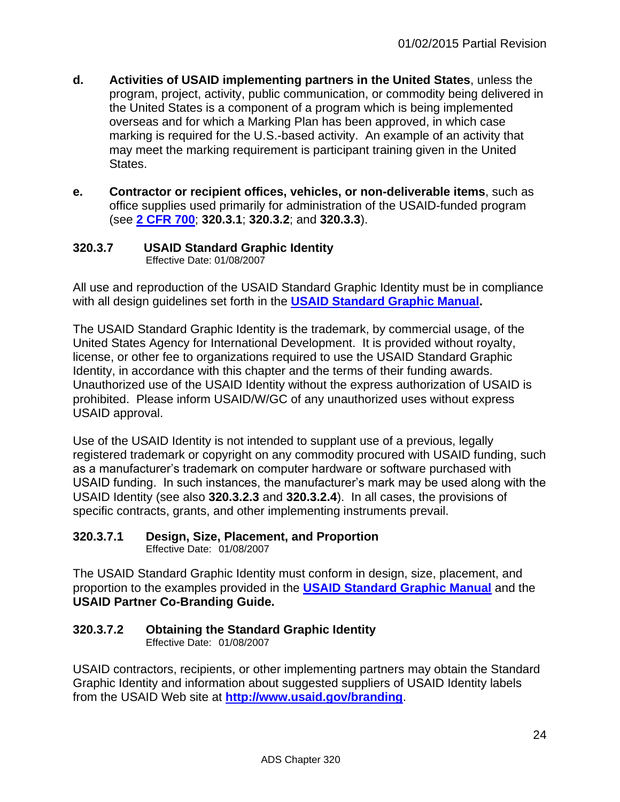- **d. Activities of USAID implementing partners in the United States**, unless the program, project, activity, public communication, or commodity being delivered in the United States is a component of a program which is being implemented overseas and for which a Marking Plan has been approved, in which case marking is required for the U.S.-based activity. An example of an activity that may meet the marking requirement is participant training given in the United States.
- **e. Contractor or recipient offices, vehicles, or non-deliverable items**, such as office supplies used primarily for administration of the USAID-funded program (see **[2 CFR 700](http://www.gpo.gov/fdsys/pkg/FR-2015-09-17/html/2015-23419.htm)**; **320.3.1**; **320.3.2**; and **320.3.3**).

#### <span id="page-23-0"></span>**320.3.7 USAID Standard Graphic Identity** Effective Date: 01/08/2007

All use and reproduction of the USAID Standard Graphic Identity must be in compliance with all design guidelines set forth in the **[USAID Standard Graphic Manual.](http://www.usaid.gov/branding/gsm)**

The USAID Standard Graphic Identity is the trademark, by commercial usage, of the United States Agency for International Development. It is provided without royalty, license, or other fee to organizations required to use the USAID Standard Graphic Identity, in accordance with this chapter and the terms of their funding awards. Unauthorized use of the USAID Identity without the express authorization of USAID is prohibited. Please inform USAID/W/GC of any unauthorized uses without express USAID approval.

Use of the USAID Identity is not intended to supplant use of a previous, legally registered trademark or copyright on any commodity procured with USAID funding, such as a manufacturer's trademark on computer hardware or software purchased with USAID funding. In such instances, the manufacturer's mark may be used along with the USAID Identity (see also **320.3.2.3** and **320.3.2.4**). In all cases, the provisions of specific contracts, grants, and other implementing instruments prevail.

# <span id="page-23-1"></span>**320.3.7.1 Design, Size, Placement, and Proportion**

Effective Date: 01/08/2007

The USAID Standard Graphic Identity must conform in design, size, placement, and proportion to the examples provided in the **[USAID Standard Graphic Manual](http://www.usaid.gov/branding/gsm)** and the **USAID Partner Co-Branding Guide.** 

# <span id="page-23-2"></span>**320.3.7.2 Obtaining the Standard Graphic Identity**

Effective Date: 01/08/2007

USAID contractors, recipients, or other implementing partners may obtain the Standard Graphic Identity and information about suggested suppliers of USAID Identity labels from the USAID Web site at **<http://www.usaid.gov/branding>**.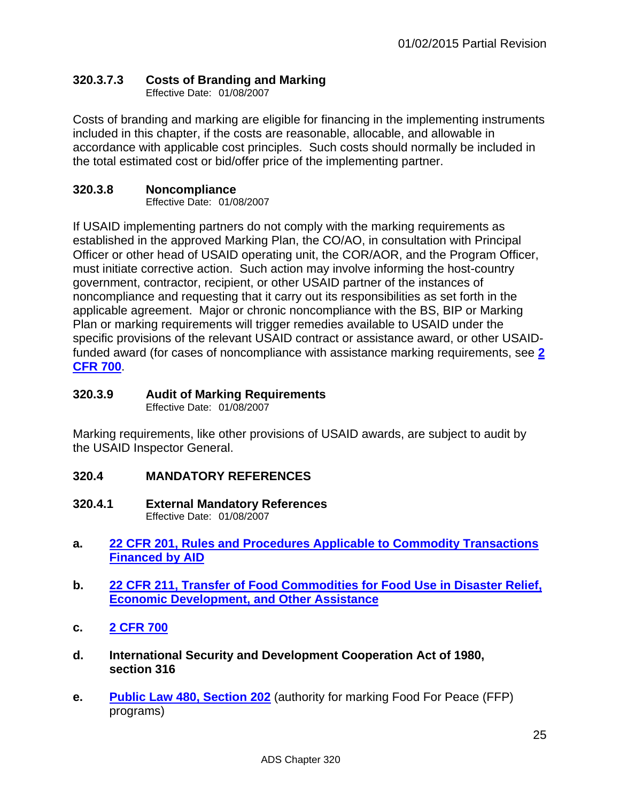# <span id="page-24-0"></span>**320.3.7.3 Costs of Branding and Marking**

Effective Date: 01/08/2007

Costs of branding and marking are eligible for financing in the implementing instruments included in this chapter, if the costs are reasonable, allocable, and allowable in accordance with applicable cost principles. Such costs should normally be included in the total estimated cost or bid/offer price of the implementing partner.

# <span id="page-24-1"></span>**320.3.8 Noncompliance**

Effective Date: 01/08/2007

If USAID implementing partners do not comply with the marking requirements as established in the approved Marking Plan, the CO/AO, in consultation with Principal Officer or other head of USAID operating unit, the COR/AOR, and the Program Officer, must initiate corrective action. Such action may involve informing the host-country government, contractor, recipient, or other USAID partner of the instances of noncompliance and requesting that it carry out its responsibilities as set forth in the applicable agreement. Major or chronic noncompliance with the BS, BIP or Marking Plan or marking requirements will trigger remedies available to USAID under the specific provisions of the relevant USAID contract or assistance award, or other USAIDfunded award (for cases of noncompliance with assistance marking requirements, see **[2](http://www.gpo.gov/fdsys/pkg/FR-2015-09-17/html/2015-23419.htm)  [CFR 700](http://www.gpo.gov/fdsys/pkg/FR-2015-09-17/html/2015-23419.htm)**.

# <span id="page-24-2"></span>**320.3.9 Audit of Marking Requirements**

Effective Date: 01/08/2007

Marking requirements, like other provisions of USAID awards, are subject to audit by the USAID Inspector General.

# <span id="page-24-3"></span>**320.4 MANDATORY REFERENCES**

- <span id="page-24-4"></span>**320.4.1 External Mandatory References** Effective Date: 01/08/2007
- **a. [22 CFR 201, Rules and Procedures Applicable to Commodity Transactions](http://www.gpo.gov/fdsys/pkg/CFR-2011-title22-vol1/xml/CFR-2011-title22-vol1-part201.xml)  [Financed by AID](http://www.gpo.gov/fdsys/pkg/CFR-2011-title22-vol1/xml/CFR-2011-title22-vol1-part201.xml)**
- **b. [22 CFR 211, Transfer of Food Commodities for Food Use in Disaster Relief,](http://www.gpo.gov/fdsys/pkg/CFR-2011-title22-vol1/xml/CFR-2011-title22-vol1-part211.xml)  [Economic Development, and Other Assistance](http://www.gpo.gov/fdsys/pkg/CFR-2011-title22-vol1/xml/CFR-2011-title22-vol1-part211.xml)**
- **c. [2 CFR 700](http://www.gpo.gov/fdsys/pkg/FR-2015-09-17/html/2015-23419.htm)**
- **d. International Security and Development Cooperation Act of 1980, section 316**
- **e. [Public Law 480, Section 202](http://www.fas.usda.gov/excredits/FoodAid/pl480/pl480.asp)** (authority for marking Food For Peace (FFP) programs)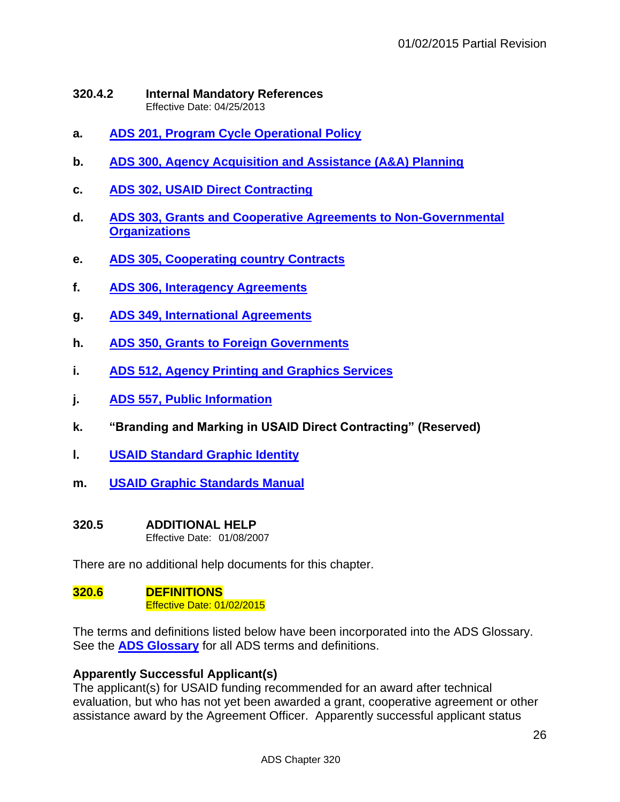#### <span id="page-25-0"></span>**320.4.2 Internal Mandatory References** Effective Date: 04/25/2013

- **a. [ADS 201, Program Cycle Operational Policy](http://www.usaid.gov/ads/policy/200/201)**
- **b. [ADS 300, Agency Acquisition and Assistance \(A&A\) Planning](http://www.usaid.gov/ads/policy/300/300)**
- **c. [ADS 302, USAID Direct Contracting](http://www.usaid.gov/ads/policy/300/302)**
- **d. [ADS 303, Grants and Cooperative Agreements to Non-Governmental](http://www.usaid.gov/ads/policy/300/303)  [Organizations](http://www.usaid.gov/ads/policy/300/303)**
- **e. [ADS 305, Cooperating country Contracts](http://www.usaid.gov/ads/policy/300/305)**
- **f. [ADS 306, Interagency Agreements](http://www.usaid.gov/ads/policy/300/306)**
- **g. [ADS 349, International Agreements](http://www.usaid.gov/ads/policy/300/349)**
- **h. [ADS 350, Grants to Foreign Governments](http://www.usaid.gov/ads/policy/300/350)**
- **i. [ADS 512, Agency Printing and Graphics Services](http://www.usaid.gov/ads/policy/500/512)**
- **j. [ADS 557, Public Information](http://www.usaid.gov/ads/policy/500/557)**
- **k. "Branding and Marking in USAID Direct Contracting" (Reserved)**
- **l. [USAID Standard](http://www.usaid.gov/branding) Graphic Identity**
- **m. [USAID Graphic Standards Manual](http://www.usaid.gov/branding/gsm)**

#### <span id="page-25-1"></span>**320.5 ADDITIONAL HELP**

Effective Date: 01/08/2007

There are no additional help documents for this chapter.

#### <span id="page-25-2"></span>**320.6 DEFINITIONS**  Effective Date: 01/02/2015

The terms and definitions listed below have been incorporated into the ADS Glossary. See the **[ADS Glossary](http://www.usaid.gov/ads/policy/glossary)** for all ADS terms and definitions.

#### **Apparently Successful Applicant(s)**

The applicant(s) for USAID funding recommended for an award after technical evaluation, but who has not yet been awarded a grant, cooperative agreement or other assistance award by the Agreement Officer. Apparently successful applicant status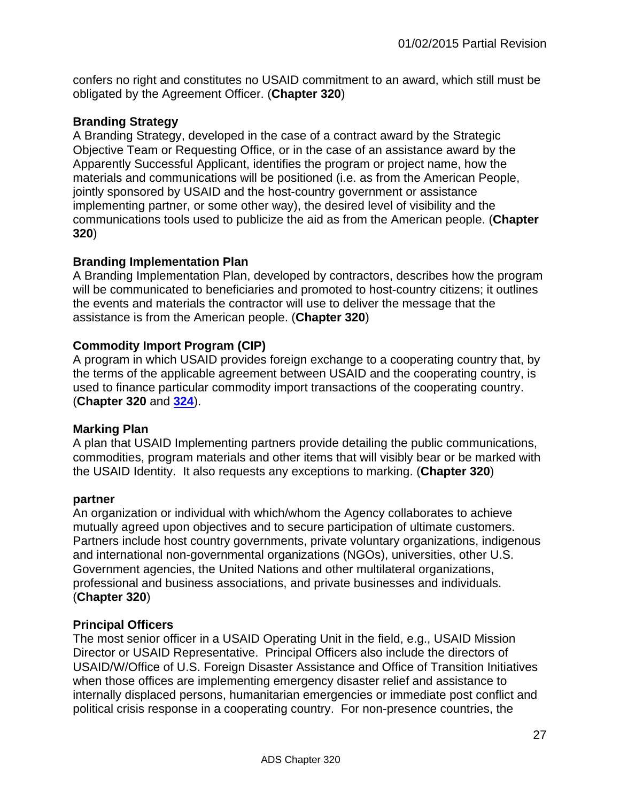confers no right and constitutes no USAID commitment to an award, which still must be obligated by the Agreement Officer. (**Chapter 320**)

#### **Branding Strategy**

A Branding Strategy, developed in the case of a contract award by the Strategic Objective Team or Requesting Office, or in the case of an assistance award by the Apparently Successful Applicant, identifies the program or project name, how the materials and communications will be positioned (i.e. as from the American People, jointly sponsored by USAID and the host-country government or assistance implementing partner, or some other way), the desired level of visibility and the communications tools used to publicize the aid as from the American people. (**Chapter 320**)

#### **Branding Implementation Plan**

A Branding Implementation Plan, developed by contractors, describes how the program will be communicated to beneficiaries and promoted to host-country citizens; it outlines the events and materials the contractor will use to deliver the message that the assistance is from the American people. (**Chapter 320**)

#### **Commodity Import Program (CIP)**

A program in which USAID provides foreign exchange to a cooperating country that, by the terms of the applicable agreement between USAID and the cooperating country, is used to finance particular commodity import transactions of the cooperating country. (**Chapter 320** and **[324](http://www.usaid.gov/ads/policy/300/324)**).

#### **Marking Plan**

A plan that USAID Implementing partners provide detailing the public communications, commodities, program materials and other items that will visibly bear or be marked with the USAID Identity. It also requests any exceptions to marking. (**Chapter 320**)

#### **partner**

An organization or individual with which/whom the Agency collaborates to achieve mutually agreed upon objectives and to secure participation of ultimate customers. Partners include host country governments, private voluntary organizations, indigenous and international non-governmental organizations (NGOs), universities, other U.S. Government agencies, the United Nations and other multilateral organizations, professional and business associations, and private businesses and individuals. (**Chapter 320**)

#### **Principal Officers**

The most senior officer in a USAID Operating Unit in the field, e.g., USAID Mission Director or USAID Representative. Principal Officers also include the directors of USAID/W/Office of U.S. Foreign Disaster Assistance and Office of Transition Initiatives when those offices are implementing emergency disaster relief and assistance to internally displaced persons, humanitarian emergencies or immediate post conflict and political crisis response in a cooperating country. For non-presence countries, the